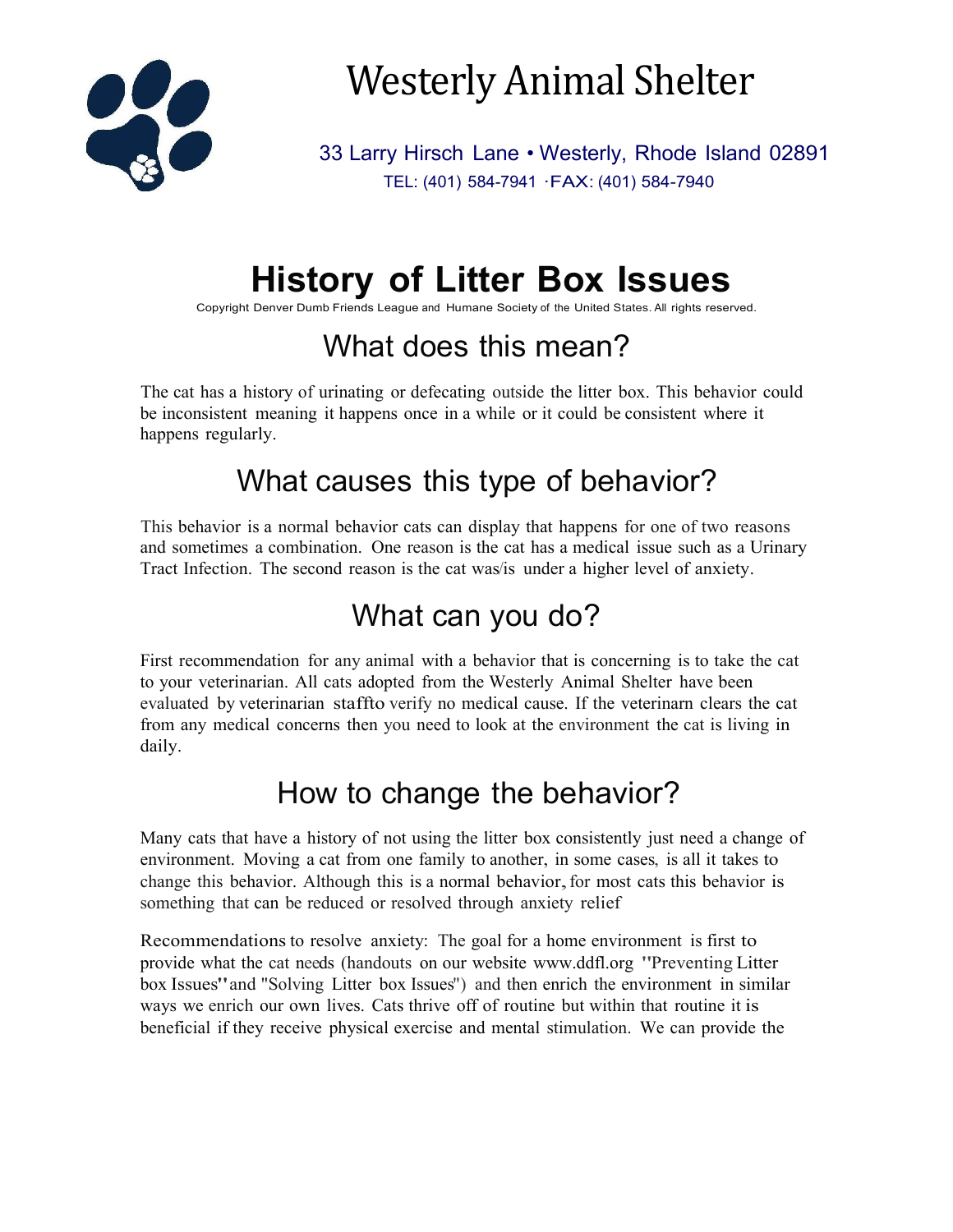

# Westerly Animal Shelter

33 Larry Hirsch Lane • Westerly, Rhode Island 02891 TEL: (401) 584-7941 ·FAX: (401) 584-7940

## **History of Litter Box Issues**

Copyright Denver Dumb Friends League and Humane Society of the United States. All rights reserved.

### What does this mean?

The cat has a history of urinating or defecating outside the litter box. This behavior could be inconsistent meaning it happens once in a while or it could be consistent where it happens regularly.

#### What causes this type of behavior?

This behavior is a normal behavior cats can display that happens for one of two reasons and sometimes a combination. One reason is the cat has a medical issue such as a Urinary Tract Infection. The second reason is the cat was/is under a higher level of anxiety.

#### What can you do?

First recommendation for any animal with a behavior that is concerning is to take the cat to your veterinarian. All cats adopted from the Westerly Animal Shelter have been evaluated by veterinarian staffto verify no medical cause. If the veterinarn clears the cat from any medical concerns then you need to look at the environment the cat is living in daily.

#### How to change the behavior?

Many cats that have a history of not using the litter box consistently just need a change of environment. Moving a cat from one family to another, in some cases, is all it takes to change this behavior. Although this is a normal behavior, for most cats this behavior is something that can be reduced or resolved through anxiety relief

Recommendations to resolve anxiety: The goal for a home environment is first to provide what the cat needs (handouts on our website [www.ddfl.org](http://www.ddfl.org/) "Preventing Litter box Issues"and "Solving Litter box Issues") and then enrich the environment in similar ways we enrich our own lives. Cats thrive off of routine but within that routine it is beneficial if they receive physical exercise and mental stimulation. We can provide the